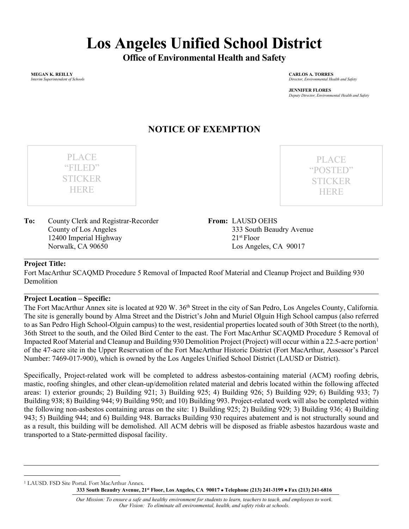# **Los Angeles Unified School District**

**Office of Environmental Health and Safety**

**MEGAN K. REILLY** *Interim Superintendent of Schools* **CARLOS A. TORRES** *Director, Environmental Health and Safety*

**JENNIFER FLORES** *Deputy Director, Environmental Health and Safety*

## **NOTICE OF EXEMPTION**

**To:** County Clerk and Registrar-Recorder County of Los Angeles 12400 Imperial Highway Norwalk, CA 90650

PLACE "FILED" STICKER **HERE** 

PLACE "POSTED" STICKER **HERE** 

**From:** LAUSD OEHS 333 South Beaudry Avenue 21st Floor Los Angeles, CA 90017

#### **Project Title:**

Fort MacArthur SCAQMD Procedure 5 Removal of Impacted Roof Material and Cleanup Project and Building 930 **Demolition** 

#### **Project Location – Specific:**

The Fort MacArthur Annex site is located at 920 W. 36<sup>th</sup> Street in the city of San Pedro, Los Angeles County, California. The site is generally bound by Alma Street and the District's John and Muriel Olguin High School campus (also referred to as San Pedro High School-Olguin campus) to the west, residential properties located south of 30th Street (to the north), 36th Street to the south, and the Oiled Bird Center to the east. The Fort MacArthur SCAQMD Procedure 5 Removal of Impacted Roof Material and Cleanup and Building 930 Demolition Project (Project) will occur within a 22.5-acre portion[1](#page-0-0) of the 47-acre site in the Upper Reservation of the Fort MacArthur Historic District (Fort MacArthur, Assessor's Parcel Number: 7469-017-900), which is owned by the Los Angeles Unified School District (LAUSD or District).

Specifically, Project-related work will be completed to address asbestos-containing material (ACM) roofing debris, mastic, roofing shingles, and other clean-up/demolition related material and debris located within the following affected areas: 1) exterior grounds; 2) Building 921; 3) Building 925; 4) Building 926; 5) Building 929; 6) Building 933; 7) Building 938; 8) Building 944; 9) Building 950; and 10) Building 993. Project-related work will also be completed within the following non-asbestos containing areas on the site: 1) Building 925; 2) Building 929; 3) Building 936; 4) Building 943; 5) Building 944; and 6) Building 948. Barracks Building 930 requires abatement and is not structurally sound and as a result, this building will be demolished. All ACM debris will be disposed as friable asbestos hazardous waste and transported to a State-permitted disposal facility.

<span id="page-0-0"></span>**<sup>333</sup> South Beaudry Avenue, 21st Floor, Los Angeles, CA 90017** • **Telephone (213) 241-3199** • **Fax (213) 241-6816** <sup>1</sup> LAUSD. FSD Site Portal. Fort MacArthur Annex.

*Our Mission: To ensure a safe and healthy environment for students to learn, teachers to teach, and employees to work. Our Vision: To eliminate all environmental, health, and safety risks at schools.*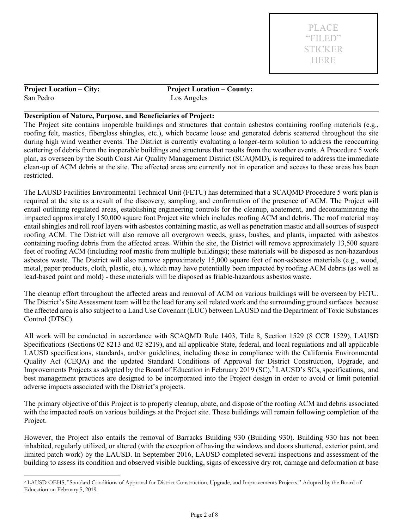San Pedro Los Angeles

**Project Location – City: Project Location – County:**

#### **Description of Nature, Purpose, and Beneficiaries of Project:**

The Project site contains inoperable buildings and structures that contain asbestos containing roofing materials (e.g., roofing felt, mastics, fiberglass shingles, etc.), which became loose and generated debris scattered throughout the site during high wind weather events. The District is currently evaluating a longer-term solution to address the reoccurring scattering of debris from the inoperable buildings and structures that results from the weather events. A Procedure 5 work plan, as overseen by the South Coast Air Quality Management District (SCAQMD), is required to address the immediate clean-up of ACM debris at the site. The affected areas are currently not in operation and access to these areas has been restricted.

The LAUSD Facilities Environmental Technical Unit (FETU) has determined that a SCAQMD Procedure 5 work plan is required at the site as a result of the discovery, sampling, and confirmation of the presence of ACM. The Project will entail outlining regulated areas, establishing engineering controls for the cleanup, abatement, and decontaminating the impacted approximately 150,000 square foot Project site which includes roofing ACM and debris. The roof material may entail shingles and roll roof layers with asbestos containing mastic, as well as penetration mastic and all sources of suspect roofing ACM. The District will also remove all overgrown weeds, grass, bushes, and plants, impacted with asbestos containing roofing debris from the affected areas. Within the site, the District will remove approximately 13,500 square feet of roofing ACM (including roof mastic from multiple buildings); these materials will be disposed as non-hazardous asbestos waste. The District will also remove approximately 15,000 square feet of non-asbestos materials (e.g., wood, metal, paper products, cloth, plastic, etc.), which may have potentially been impacted by roofing ACM debris (as well as lead-based paint and mold) - these materials will be disposed as friable-hazardous asbestos waste.

The cleanup effort throughout the affected areas and removal of ACM on various buildings will be overseen by FETU. The District's Site Assessment team will be the lead for any soil related work and the surrounding ground surfaces because the affected area is also subject to a Land Use Covenant (LUC) between LAUSD and the Department of Toxic Substances Control (DTSC).

All work will be conducted in accordance with SCAQMD Rule 1403, Title 8, Section 1529 (8 CCR 1529), LAUSD Specifications (Sections 02 8213 and 02 8219), and all applicable State, federal, and local regulations and all applicable LAUSD specifications, standards, and/or guidelines, including those in compliance with the California Environmental Quality Act (CEQA) and the updated Standard Conditions of Approval for District Construction, Upgrade, and Improvements Projects as adopted by the Board of Education in February [2](#page-1-0)019 (SC).<sup>2</sup> LAUSD's SCs, specifications, and best management practices are designed to be incorporated into the Project design in order to avoid or limit potential adverse impacts associated with the District's projects.

The primary objective of this Project is to properly cleanup, abate, and dispose of the roofing ACM and debris associated with the impacted roofs on various buildings at the Project site. These buildings will remain following completion of the Project.

However, the Project also entails the removal of Barracks Building 930 (Building 930). Building 930 has not been inhabited, regularly utilized, or altered (with the exception of having the windows and doors shuttered, exterior paint, and limited patch work) by the LAUSD. In September 2016, LAUSD completed several inspections and assessment of the building to assess its condition and observed visible buckling, signs of excessive dry rot, damage and deformation at base

<span id="page-1-0"></span><sup>2</sup> LAUSD OEHS, "Standard Conditions of Approval for District Construction, Upgrade, and Improvements Projects," Adopted by the Board of Education on February 5, 2019.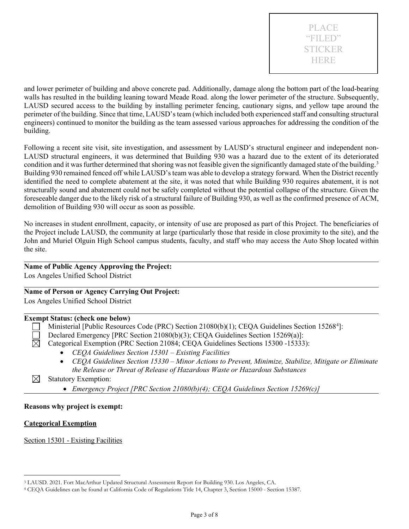

and lower perimeter of building and above concrete pad. Additionally, damage along the bottom part of the load-bearing walls has resulted in the building leaning toward Meade Road. along the lower perimeter of the structure. Subsequently, LAUSD secured access to the building by installing perimeter fencing, cautionary signs, and yellow tape around the perimeter of the building. Since that time, LAUSD's team (which included both experienced staff and consulting structural engineers) continued to monitor the building as the team assessed various approaches for addressing the condition of the building.

Following a recent site visit, site investigation, and assessment by LAUSD's structural engineer and independent non-LAUSD structural engineers, it was determined that Building 930 was a hazard due to the extent of its deteriorated condition and it was further determined that shoring was not feasible given the significantly damaged state of the building.<sup>[3](#page-2-0)</sup> Building 930 remained fenced off while LAUSD's team was able to develop a strategy forward. When the District recently identified the need to complete abatement at the site, it was noted that while Building 930 requires abatement, it is not structurally sound and abatement could not be safely completed without the potential collapse of the structure. Given the foreseeable danger due to the likely risk of a structural failure of Building 930, as well as the confirmed presence of ACM, demolition of Building 930 will occur as soon as possible.

No increases in student enrollment, capacity, or intensity of use are proposed as part of this Project. The beneficiaries of the Project include LAUSD, the community at large (particularly those that reside in close proximity to the site), and the John and Muriel Olguin High School campus students, faculty, and staff who may access the Auto Shop located within the site.

### **Name of Public Agency Approving the Project:**

Los Angeles Unified School District

#### **Name of Person or Agency Carrying Out Project:**

Los Angeles Unified School District

#### **Exempt Status: (check one below)**

- Ministerial [Public Resources Code (PRC) Section 21080(b)(1); CEQA Guidelines Section 15268<sup>[4](#page-2-1)</sup>]:
- Declared Emergency [PRC Section 21080(b)(3); CEQA Guidelines Section 15269(a)]:
- Categorical Exemption (PRC Section 21084; CEQA Guidelines Sections 15300 -15333):
	- *CEQA Guidelines Section 15301 – Existing Facilities*
	- *CEQA Guidelines Section 15330 – Minor Actions to Prevent, Minimize, Stabilize, Mitigate or Eliminate the Release or Threat of Release of Hazardous Waste or Hazardous Substances*
- ⊠ Statutory Exemption:
	- *Emergency Project [PRC Section 21080(b)(4); CEQA Guidelines Section 15269(c)]*

#### **Reasons why project is exempt:**

#### **Categorical Exemption**

⊠

Section 15301 - Existing Facilities

<span id="page-2-0"></span><sup>3</sup> LAUSD. 2021. Fort MacArthur Updated Structural Assessment Report for Building 930. Los Angeles, CA.

<span id="page-2-1"></span><sup>4</sup> CEQA Guidelines can be found at California Code of Regulations Title 14, Chapter 3, Section 15000 - Section 15387.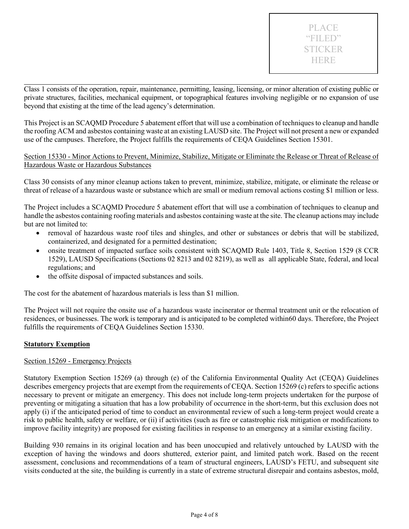Class 1 consists of the operation, repair, maintenance, permitting, leasing, licensing, or minor alteration of existing public or private structures, facilities, mechanical equipment, or topographical features involving negligible or no expansion of use beyond that existing at the time of the lead agency's determination.

This Project is an SCAQMD Procedure 5 abatement effort that will use a combination of techniques to cleanup and handle the roofing ACM and asbestos containing waste at an existing LAUSD site. The Project will not present a new or expanded use of the campuses. Therefore, the Project fulfills the requirements of CEQA Guidelines Section 15301.

#### Section 15330 - Minor Actions to Prevent, Minimize, Stabilize, Mitigate or Eliminate the Release or Threat of Release of Hazardous Waste or Hazardous Substances

Class 30 consists of any minor cleanup actions taken to prevent, minimize, stabilize, mitigate, or eliminate the release or threat of release of a hazardous waste or substance which are small or medium removal actions costing \$1 million or less.

The Project includes a SCAQMD Procedure 5 abatement effort that will use a combination of techniques to cleanup and handle the asbestos containing roofing materials and asbestos containing waste at the site. The cleanup actions may include but are not limited to:

- removal of hazardous waste roof tiles and shingles, and other or substances or debris that will be stabilized, containerized, and designated for a permitted destination;
- onsite treatment of impacted surface soils consistent with SCAQMD Rule 1403, Title 8, Section 1529 (8 CCR 1529), LAUSD Specifications (Sections 02 8213 and 02 8219), as well as all applicable State, federal, and local regulations; and
- the offsite disposal of impacted substances and soils.

The cost for the abatement of hazardous materials is less than \$1 million.

The Project will not require the onsite use of a hazardous waste incinerator or thermal treatment unit or the relocation of residences, or businesses. The work is temporary and is anticipated to be completed within60 days. Therefore, the Project fulfills the requirements of CEQA Guidelines Section 15330.

#### **Statutory Exemption**

#### Section 15269 - Emergency Projects

Statutory Exemption Section 15269 (a) through (e) of the California Environmental Quality Act (CEQA) Guidelines describes emergency projects that are exempt from the requirements of CEQA. Section 15269 (c) refers to specific actions necessary to prevent or mitigate an emergency. This does not include long-term projects undertaken for the purpose of preventing or mitigating a situation that has a low probability of occurrence in the short-term, but this exclusion does not apply (i) if the anticipated period of time to conduct an environmental review of such a long-term project would create a risk to public health, safety or welfare, or (ii) if activities (such as fire or catastrophic risk mitigation or modifications to improve facility integrity) are proposed for existing facilities in response to an emergency at a similar existing facility.

Building 930 remains in its original location and has been unoccupied and relatively untouched by LAUSD with the exception of having the windows and doors shuttered, exterior paint, and limited patch work. Based on the recent assessment, conclusions and recommendations of a team of structural engineers, LAUSD's FETU, and subsequent site visits conducted at the site, the building is currently in a state of extreme structural disrepair and contains asbestos, mold,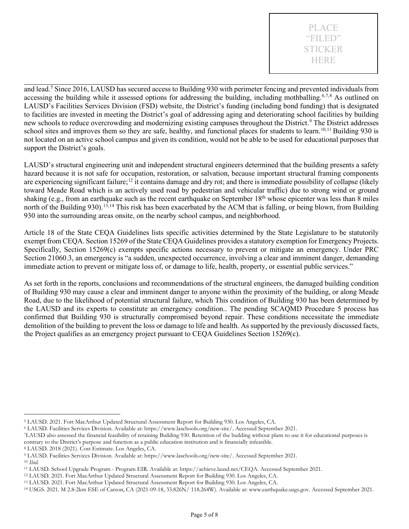and lead.<sup>[5](#page-4-0)</sup> Since 2016, LAUSD has secured access to Building 930 with perimeter fencing and prevented individuals from accessing the building while it assessed options for addressing the building, including mothballing.<sup>[6,](#page-4-1)[7](#page-4-2),[8](#page-4-3)</sup> As outlined on LAUSD's Facilities Services Division (FSD) website, the District's funding (including bond funding) that is designated to facilities are invested in meeting the District's goal of addressing aging and deteriorating school facilities by building new schools to reduce overcrowding and modernizing existing campuses throughout the District.<sup>[9](#page-4-4)</sup> The District addresses school sites and improves them so they are safe, healthy, and functional places for students to learn.<sup>10,[11](#page-4-6)</sup> Building 930 is not located on an active school campus and given its condition, would not be able to be used for educational purposes that support the District's goals.

LAUSD's structural engineering unit and independent structural engineers determined that the building presents a safety hazard because it is not safe for occupation, restoration, or salvation, because important structural framing components are experiencing significant failure;<sup>[12](#page-4-7)</sup> it contains damage and dry rot; and there is immediate possibility of collapse (likely toward Meade Road which is an actively used road by pedestrian and vehicular traffic) due to strong wind or ground shaking (e.g., from an earthquake such as the recent earthquake on September  $18<sup>th</sup>$  whose epicenter was less than  $8$  miles north of the Building 930). [13,](#page-4-8)[14](#page-4-9) This risk has been exacerbated by the ACM that is falling, or being blown, from Building 930 into the surrounding areas onsite, on the nearby school campus, and neighborhood.

Article 18 of the State CEQA Guidelines lists specific activities determined by the State Legislature to be statutorily exempt from CEQA. Section 15269 of the State CEQA Guidelines provides a statutory exemption for Emergency Projects. Specifically, Section 15269(c) exempts specific actions necessary to prevent or mitigate an emergency. Under PRC Section 21060.3, an emergency is "a sudden, unexpected occurrence, involving a clear and imminent danger, demanding immediate action to prevent or mitigate loss of, or damage to life, health, property, or essential public services."

As set forth in the reports, conclusions and recommendations of the structural engineers, the damaged building condition of Building 930 may cause a clear and imminent danger to anyone within the proximity of the building, or along Meade Road, due to the likelihood of potential structural failure, which This condition of Building 930 has been determined by the LAUSD and its experts to constitute an emergency condition.. The pending SCAQMD Procedure 5 process has confirmed that Building 930 is structurally compromised beyond repair. These conditions necessitate the immediate demolition of the building to prevent the loss or damage to life and health. As supported by the previously discussed facts, the Project qualifies as an emergency project pursuant to CEQA Guidelines Section 15269(c).

<span id="page-4-0"></span><sup>5</sup> LAUSD. 2021. Fort MacArthur Updated Structural Assessment Report for Building 930. Los Angeles, CA.

<span id="page-4-1"></span><sup>6</sup> LAUSD. Facilities Services Division. Available at: https://www.laschools.org/new-site/. Accessed September 2021.

<span id="page-4-2"></span><sup>7</sup>LAUSD also assessed the financial feasibility of retaining Building 930. Retention of the building without plans to use it for educational purposes is contrary to the District's purpose and function as a public education institution and is financially infeasible.

<span id="page-4-3"></span><sup>8</sup> LAUSD. 2018 (2021). Cost Estimate. Los Angeles, CA.

<span id="page-4-4"></span><sup>9</sup> LAUSD. Facilities Services Division. Available at: [https://www.laschools.org/new-site/.](https://www.laschools.org/new-site/) Accessed September 2021.

<span id="page-4-5"></span><sup>10</sup> *Ibid.*

<span id="page-4-6"></span><sup>11</sup> LAUSD. School Upgrade Program - Program EIR. Available at[: https://achieve.lausd.net/CEQA.](https://achieve.lausd.net/CEQA) Accessed September 2021. 12 LAUSD. 2021. Fort MacArthur Updated Structural Assessment Report for Building 930. Los Angeles, CA.

<span id="page-4-7"></span>

<span id="page-4-8"></span><sup>13</sup> LAUSD. 2021. Fort MacArthur Updated Structural Assessment Report for Building 930. Los Angeles, CA.

<span id="page-4-9"></span><sup>14</sup> USGS. 2021. M 2.8-2km ESE of Carson, CA (2021-09-18, 33.826N/ 118.264W). Available at: [www.earthquake.usgs.gov.](http://www.earthquake.usgs.gov/) Accessed September 2021.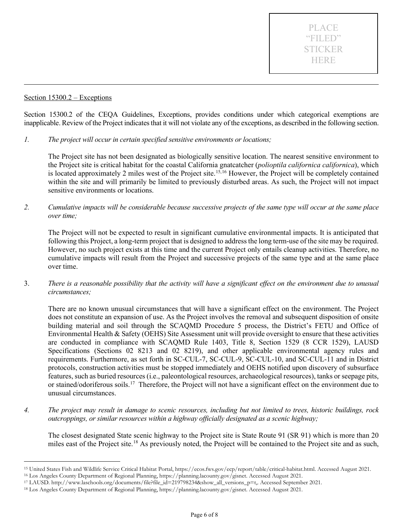#### Section 15300.2 – Exceptions

Section 15300.2 of the CEQA Guidelines, Exceptions, provides conditions under which categorical exemptions are inapplicable. Review of the Project indicates that it will not violate any of the exceptions, as described in the following section.

*1. The project will occur in certain specified sensitive environments or locations;*

The Project site has not been designated as biologically sensitive location. The nearest sensitive environment to the Project site is critical habitat for the coastal California gnatcatcher (*polioptila californica californica*), which is located approximately 2 miles west of the Project site. [15](#page-5-0),[16](#page-5-1) However, the Project will be completely contained within the site and will primarily be limited to previously disturbed areas. As such, the Project will not impact sensitive environments or locations.

*2. Cumulative impacts will be considerable because successive projects of the same type will occur at the same place over time;*

The Project will not be expected to result in significant cumulative environmental impacts. It is anticipated that following this Project, a long-term project that is designed to address the long term-use of the site may be required. However, no such project exists at this time and the current Project only entails cleanup activities. Therefore, no cumulative impacts will result from the Project and successive projects of the same type and at the same place over time.

3. *There is a reasonable possibility that the activity will have a significant effect on the environment due to unusual circumstances;*

There are no known unusual circumstances that will have a significant effect on the environment. The Project does not constitute an expansion of use. As the Project involves the removal and subsequent disposition of onsite building material and soil through the SCAQMD Procedure 5 process, the District's FETU and Office of Environmental Health & Safety (OEHS) Site Assessment unit will provide oversight to ensure that these activities are conducted in compliance with SCAQMD Rule 1403, Title 8, Section 1529 (8 CCR 1529), LAUSD Specifications (Sections 02 8213 and 02 8219), and other applicable environmental agency rules and requirements. Furthermore, as set forth in SC-CUL-7, SC-CUL-9, SC-CUL-10, and SC-CUL-11 and in District protocols, construction activities must be stopped immediately and OEHS notified upon discovery of subsurface features, such as buried resources (i.e., paleontological resources, archaeological resources), tanks or seepage pits, or stained/odoriferous soils.<sup>17</sup> Therefore, the Project will not have a significant effect on the environment due to unusual circumstances.

*4. The project may result in damage to scenic resources, including but not limited to trees, historic buildings, rock outcroppings, or similar resources within a highway officially designated as a scenic highway;*

The closest designated State scenic highway to the Project site is State Route 91 (SR 91) which is more than 20 miles east of the Project site.<sup>[18](#page-5-3)</sup> As previously noted, the Project will be contained to the Project site and as such,

<span id="page-5-0"></span><sup>15</sup> United States Fish and Wildlife Service Critical Habitat Portal, [https://ecos.fws.gov/ecp/report/table/critical-habitat.html.](https://ecos.fws.gov/ecp/report/table/critical-habitat.html) Accessed August 2021.

<span id="page-5-2"></span><span id="page-5-1"></span><sup>16</sup> Los Angeles County Department of Regional Planning, https://planning.lacounty.gov/gisnet. Accessed August 2021.

<sup>17</sup> LAUSD. http://www.laschools.org/documents/file?file\_id=219798234&show\_all\_versions\_p=t,. Accessed September 2021.

<span id="page-5-3"></span><sup>18</sup> Los Angeles County Department of Regional Planning, https://planning.lacounty.gov/gisnet. Accessed August 2021.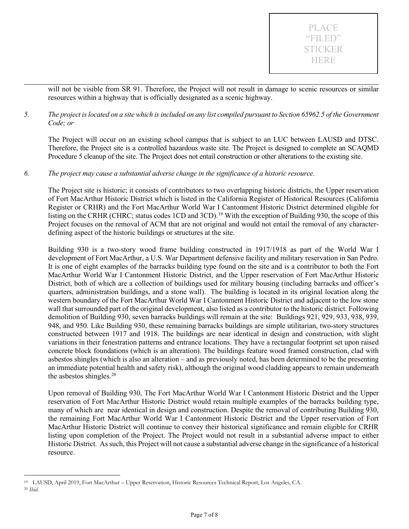will not be visible from SR 91. Therefore, the Project will not result in damage to scenic resources or similar resources within a highway that is officially designated as a scenic highway.

*5. The project is located on a site which is included on any list compiled pursuant to Section 65962.5 of the Government Code; or*

The Project will occur on an existing school campus that is subject to an LUC between LAUSD and DTSC. Therefore, the Project site is a controlled hazardous waste site. The Project is designed to complete an SCAQMD Procedure 5 cleanup of the site. The Project does not entail construction or other alterations to the existing site.

*6. The project may cause a substantial adverse change in the significance of a historic resource.*

The Project site is historic; it consists of contributors to two overlapping historic districts, the Upper reservation of Fort MacArthur Historic District which is listed in the California Register of Historical Resources (California Register or CRHR) and the Fort MacArthur World War I Cantonment Historic District determined eligible for listing on the CRHR (CHRC; status codes 1CD and 3CD).<sup>[19](#page-6-0)</sup> With the exception of Building 930, the scope of this Project focuses on the removal of ACM that are not original and would not entail the removal of any characterdefining aspect of the historic buildings or structures at the site.

Building 930 is a two-story wood frame building constructed in 1917/1918 as part of the World War I development of Fort MacArthur, a U.S. War Department defensive facility and military reservation in San Pedro. It is one of eight examples of the barracks building type found on the site and is a contributor to both the Fort MacArthur World War I Cantonment Historic District, and the Upper reservation of Fort MacArthur Historic District, both of which are a collection of buildings used for military housing (including barracks and officer's quarters, administration buildings, and a stone wall). The building is located in its original location along the western boundary of the Fort MacArthur World War I Cantonment Historic District and adjacent to the low stone wall that surrounded part of the original development, also listed as a contributor to the historic district. Following demolition of Building 930, seven barracks buildings will remain at the site: Buildings 921, 929, 933, 938, 939, 948, and 950. Like Building 930, these remaining barracks buildings are simple utilitarian, two-story structures constructed between 1917 and 1918. The buildings are near identical in design and construction, with slight variations in their fenestration patterns and entrance locations. They have a rectangular footprint set upon raised concrete block foundations (which is an alteration). The buildings feature wood framed construction, clad with asbestos shingles (which is also an alteration – and as previously noted, has been determined to be the presenting an immediate potential health and safety risk), although the original wood cladding appears to remain underneath the asbestos shingles.<sup>[20](#page-6-1)</sup>

Upon removal of Building 930, The Fort MacArthur World War I Cantonment Historic District and the Upper reservation of Fort MacArthur Historic District would retain multiple examples of the barracks building type, many of which are near identical in design and construction. Despite the removal of contributing Building 930, the remaining Fort MacArthur World War I Cantonment Historic District and the Upper reservation of Fort MacArthur Historic District will continue to convey their historical significance and remain eligible for CRHR listing upon completion of the Project. The Project would not result in a substantial adverse impact to either Historic District. Assuch, this Project will not cause a substantial adverse change in the significance of a historical resource.

<span id="page-6-1"></span><span id="page-6-0"></span><sup>19</sup> LAUSD, April 2019, Fort MacArthur – Upper Reservation, Historic Resources Technical Report, Los Angeles, CA. <sup>20</sup> *Ibid.*